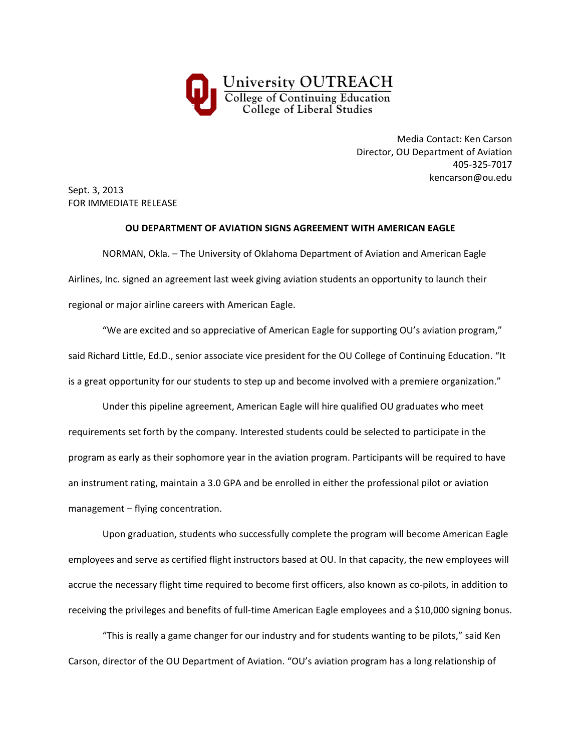

Media Contact: Ken Carson Director, OU Department of Aviation 405‐325‐7017 kencarson@ou.edu

Sept. 3, 2013 FOR IMMEDIATE RELEASE

## **OU DEPARTMENT OF AVIATION SIGNS AGREEMENT WITH AMERICAN EAGLE**

NORMAN, Okla. – The University of Oklahoma Department of Aviation and American Eagle Airlines, Inc. signed an agreement last week giving aviation students an opportunity to launch their regional or major airline careers with American Eagle.

"We are excited and so appreciative of American Eagle for supporting OU's aviation program," said Richard Little, Ed.D., senior associate vice president for the OU College of Continuing Education. "It is a great opportunity for our students to step up and become involved with a premiere organization."

Under this pipeline agreement, American Eagle will hire qualified OU graduates who meet requirements set forth by the company. Interested students could be selected to participate in the program as early as their sophomore year in the aviation program. Participants will be required to have an instrument rating, maintain a 3.0 GPA and be enrolled in either the professional pilot or aviation management – flying concentration.

Upon graduation, students who successfully complete the program will become American Eagle employees and serve as certified flight instructors based at OU. In that capacity, the new employees will accrue the necessary flight time required to become first officers, also known as co-pilots, in addition to receiving the privileges and benefits of full-time American Eagle employees and a \$10,000 signing bonus.

"This is really a game changer for our industry and for students wanting to be pilots," said Ken Carson, director of the OU Department of Aviation. "OU's aviation program has a long relationship of